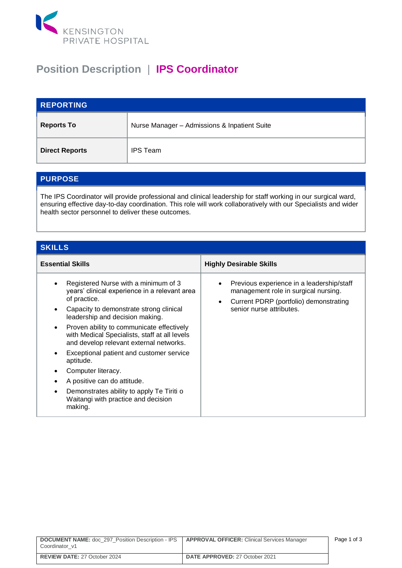

## **Position Description** | **IPS Coordinator**

| <b>REPORTING</b>      |                                              |
|-----------------------|----------------------------------------------|
| <b>Reports To</b>     | Nurse Manager - Admissions & Inpatient Suite |
| <b>Direct Reports</b> | <b>IPS Team</b>                              |

## **PURPOSE**

The IPS Coordinator will provide professional and clinical leadership for staff working in our surgical ward, ensuring effective day-to-day coordination. This role will work collaboratively with our Specialists and wider health sector personnel to deliver these outcomes.

## **SKILLS**

| <b>Essential Skills</b><br><b>Highly Desirable Skills</b><br>Registered Nurse with a minimum of 3<br>Previous experience in a leadership/staff<br>years' clinical experience in a relevant area<br>management role in surgical nursing.<br>of practice.<br>Current PDRP (portfolio) demonstrating<br>$\bullet$<br>senior nurse attributes.<br>Capacity to demonstrate strong clinical |                                 |  |
|---------------------------------------------------------------------------------------------------------------------------------------------------------------------------------------------------------------------------------------------------------------------------------------------------------------------------------------------------------------------------------------|---------------------------------|--|
|                                                                                                                                                                                                                                                                                                                                                                                       |                                 |  |
| Proven ability to communicate effectively<br>$\bullet$<br>with Medical Specialists, staff at all levels<br>and develop relevant external networks.<br>Exceptional patient and customer service<br>aptitude.<br>Computer literacy.<br>A positive can do attitude.<br>Demonstrates ability to apply Te Tiriti o<br>Waitangi with practice and decision<br>making.                       | leadership and decision making. |  |

| <b>DOCUMENT NAME:</b> doc 297 Position Description - IPS   APPROVAL OFFICER: Clinical Services Manager<br>Coordinator v1 |                                       | Page 1 of 3 |
|--------------------------------------------------------------------------------------------------------------------------|---------------------------------------|-------------|
| <b>REVIEW DATE: 27 October 2024</b>                                                                                      | <b>DATE APPROVED: 27 October 2021</b> |             |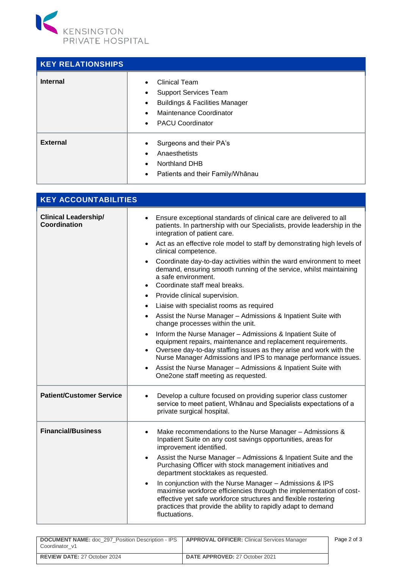

| <b>KEY RELATIONSHIPS</b> |                                                                                                                                                                                                                          |
|--------------------------|--------------------------------------------------------------------------------------------------------------------------------------------------------------------------------------------------------------------------|
| <b>Internal</b>          | <b>Clinical Team</b><br>$\bullet$<br><b>Support Services Team</b><br>$\bullet$<br><b>Buildings &amp; Facilities Manager</b><br>$\bullet$<br>Maintenance Coordinator<br>$\bullet$<br><b>PACU Coordinator</b><br>$\bullet$ |
| <b>External</b>          | Surgeons and their PA's<br>$\bullet$<br>Anaesthetists<br>$\bullet$<br><b>Northland DHB</b><br>$\bullet$<br>Patients and their Family/Whanau<br>$\bullet$                                                                 |

| <b>KEY ACCOUNTABILITIES</b>                        |                                                                                                                                                                                                                                                                                                                                                                                                                                                                                                                                                                                                                                                                                                                                                                                                                                                                                                                                                                                                                                                                                                                                      |
|----------------------------------------------------|--------------------------------------------------------------------------------------------------------------------------------------------------------------------------------------------------------------------------------------------------------------------------------------------------------------------------------------------------------------------------------------------------------------------------------------------------------------------------------------------------------------------------------------------------------------------------------------------------------------------------------------------------------------------------------------------------------------------------------------------------------------------------------------------------------------------------------------------------------------------------------------------------------------------------------------------------------------------------------------------------------------------------------------------------------------------------------------------------------------------------------------|
| <b>Clinical Leadership/</b><br><b>Coordination</b> | Ensure exceptional standards of clinical care are delivered to all<br>$\bullet$<br>patients. In partnership with our Specialists, provide leadership in the<br>integration of patient care.<br>Act as an effective role model to staff by demonstrating high levels of<br>$\bullet$<br>clinical competence.<br>Coordinate day-to-day activities within the ward environment to meet<br>$\bullet$<br>demand, ensuring smooth running of the service, whilst maintaining<br>a safe environment.<br>Coordinate staff meal breaks.<br>Provide clinical supervision.<br>$\bullet$<br>Liaise with specialist rooms as required<br>$\bullet$<br>Assist the Nurse Manager - Admissions & Inpatient Suite with<br>change processes within the unit.<br>Inform the Nurse Manager - Admissions & Inpatient Suite of<br>$\bullet$<br>equipment repairs, maintenance and replacement requirements.<br>Oversee day-to-day staffing issues as they arise and work with the<br>Nurse Manager Admissions and IPS to manage performance issues.<br>Assist the Nurse Manager - Admissions & Inpatient Suite with<br>One2one staff meeting as requested. |
| <b>Patient/Customer Service</b>                    | Develop a culture focused on providing superior class customer<br>service to meet patient, Whānau and Specialists expectations of a<br>private surgical hospital.                                                                                                                                                                                                                                                                                                                                                                                                                                                                                                                                                                                                                                                                                                                                                                                                                                                                                                                                                                    |
| <b>Financial/Business</b>                          | Make recommendations to the Nurse Manager - Admissions &<br>$\bullet$<br>Inpatient Suite on any cost savings opportunities, areas for<br>improvement identified.<br>Assist the Nurse Manager - Admissions & Inpatient Suite and the<br>٠<br>Purchasing Officer with stock management initiatives and<br>department stocktakes as requested.<br>In conjunction with the Nurse Manager - Admissions & IPS<br>$\bullet$<br>maximise workforce efficiencies through the implementation of cost-<br>effective yet safe workforce structures and flexible rostering<br>practices that provide the ability to rapidly adapt to demand<br>fluctuations.                                                                                                                                                                                                                                                                                                                                                                                                                                                                                      |

| <b>DOCUMENT NAME:</b> doc 297 Position Description - IPS   <b>APPROVAL OFFICER:</b> Clinical Services Manager<br>Coordinator v1 |                                       | Page 2 of 3 |
|---------------------------------------------------------------------------------------------------------------------------------|---------------------------------------|-------------|
| <b>REVIEW DATE: 27 October 2024</b>                                                                                             | <b>DATE APPROVED: 27 October 2021</b> |             |